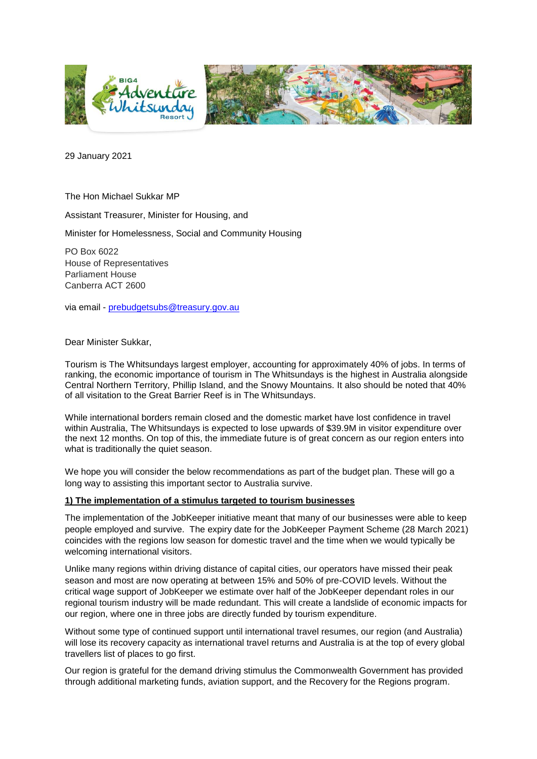

29 January 2021

The Hon Michael Sukkar MP

Assistant Treasurer, Minister for Housing, and

Minister for Homelessness, Social and Community Housing

PO Box 6022 House of Representatives Parliament House Canberra ACT 2600

via email - [prebudgetsubs@treasury.gov.au](mailto:prebudgetsubs@treasury.gov.au)

#### Dear Minister Sukkar,

Tourism is The Whitsundays largest employer, accounting for approximately 40% of jobs. In terms of ranking, the economic importance of tourism in The Whitsundays is the highest in Australia alongside Central Northern Territory, Phillip Island, and the Snowy Mountains. It also should be noted that 40% of all visitation to the Great Barrier Reef is in The Whitsundays.

While international borders remain closed and the domestic market have lost confidence in travel within Australia, The Whitsundays is expected to lose upwards of \$39.9M in visitor expenditure over the next 12 months. On top of this, the immediate future is of great concern as our region enters into what is traditionally the quiet season.

We hope you will consider the below recommendations as part of the budget plan. These will go a long way to assisting this important sector to Australia survive.

#### **1) The implementation of a stimulus targeted to tourism businesses**

The implementation of the JobKeeper initiative meant that many of our businesses were able to keep people employed and survive. The expiry date for the JobKeeper Payment Scheme (28 March 2021) coincides with the regions low season for domestic travel and the time when we would typically be welcoming international visitors.

Unlike many regions within driving distance of capital cities, our operators have missed their peak season and most are now operating at between 15% and 50% of pre-COVID levels. Without the critical wage support of JobKeeper we estimate over half of the JobKeeper dependant roles in our regional tourism industry will be made redundant. This will create a landslide of economic impacts for our region, where one in three jobs are directly funded by tourism expenditure.

Without some type of continued support until international travel resumes, our region (and Australia) will lose its recovery capacity as international travel returns and Australia is at the top of every global travellers list of places to go first.

Our region is grateful for the demand driving stimulus the Commonwealth Government has provided through additional marketing funds, aviation support, and the Recovery for the Regions program.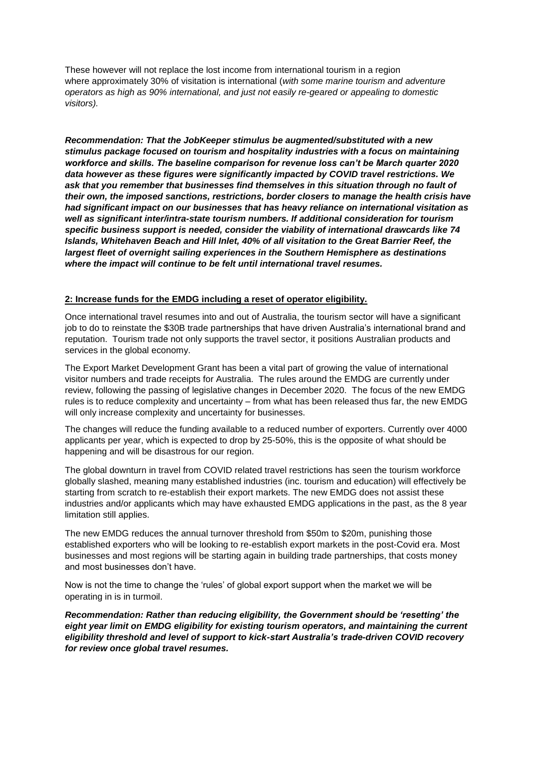These however will not replace the lost income from international tourism in a region where approximately 30% of visitation is international (*with some marine tourism and adventure operators as high as 90% international, and just not easily re-geared or appealing to domestic visitors).*

*Recommendation: That the JobKeeper stimulus be augmented/substituted with a new stimulus package focused on tourism and hospitality industries with a focus on maintaining workforce and skills. The baseline comparison for revenue loss can't be March quarter 2020 data however as these figures were significantly impacted by COVID travel restrictions. We ask that you remember that businesses find themselves in this situation through no fault of their own, the imposed sanctions, restrictions, border closers to manage the health crisis have had significant impact on our businesses that has heavy reliance on international visitation as well as significant inter/intra-state tourism numbers. If additional consideration for tourism specific business support is needed, consider the viability of international drawcards like 74 Islands, Whitehaven Beach and Hill Inlet, 40% of all visitation to the Great Barrier Reef, the largest fleet of overnight sailing experiences in the Southern Hemisphere as destinations where the impact will continue to be felt until international travel resumes.* 

### **2: Increase funds for the EMDG including a reset of operator eligibility.**

Once international travel resumes into and out of Australia, the tourism sector will have a significant job to do to reinstate the \$30B trade partnerships that have driven Australia's international brand and reputation. Tourism trade not only supports the travel sector, it positions Australian products and services in the global economy.

The Export Market Development Grant has been a vital part of growing the value of international visitor numbers and trade receipts for Australia. The rules around the EMDG are currently under review, following the passing of legislative changes in December 2020. The focus of the new EMDG rules is to reduce complexity and uncertainty – from what has been released thus far, the new EMDG will only increase complexity and uncertainty for businesses.

The changes will reduce the funding available to a reduced number of exporters. Currently over 4000 applicants per year, which is expected to drop by 25-50%, this is the opposite of what should be happening and will be disastrous for our region.

The global downturn in travel from COVID related travel restrictions has seen the tourism workforce globally slashed, meaning many established industries (inc. tourism and education) will effectively be starting from scratch to re-establish their export markets. The new EMDG does not assist these industries and/or applicants which may have exhausted EMDG applications in the past, as the 8 year limitation still applies.

The new EMDG reduces the annual turnover threshold from \$50m to \$20m, punishing those established exporters who will be looking to re-establish export markets in the post-Covid era. Most businesses and most regions will be starting again in building trade partnerships, that costs money and most businesses don't have.

Now is not the time to change the 'rules' of global export support when the market we will be operating in is in turmoil.

*Recommendation: Rather than reducing eligibility, the Government should be 'resetting' the eight year limit on EMDG eligibility for existing tourism operators, and maintaining the current eligibility threshold and level of support to kick-start Australia's trade-driven COVID recovery for review once global travel resumes.*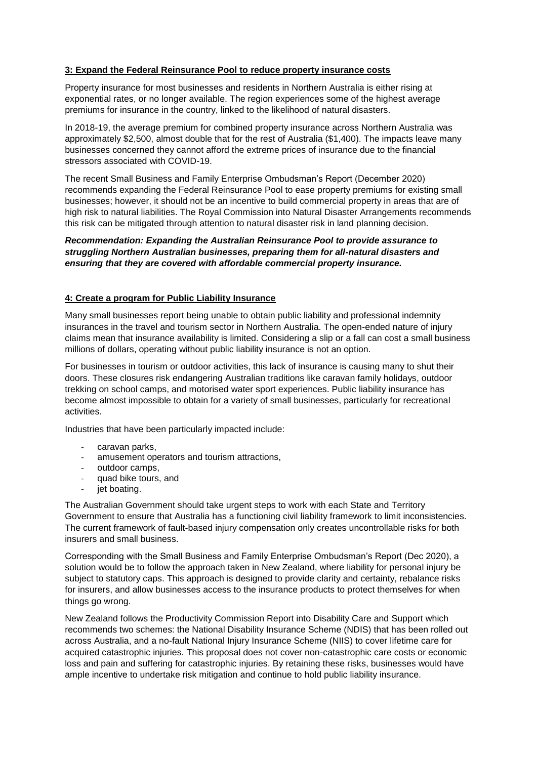## **3: Expand the Federal Reinsurance Pool to reduce property insurance costs**

Property insurance for most businesses and residents in Northern Australia is either rising at exponential rates, or no longer available. The region experiences some of the highest average premiums for insurance in the country, linked to the likelihood of natural disasters.

In 2018-19, the average premium for combined property insurance across Northern Australia was approximately \$2,500, almost double that for the rest of Australia (\$1,400). The impacts leave many businesses concerned they cannot afford the extreme prices of insurance due to the financial stressors associated with COVID-19.

The recent Small Business and Family Enterprise Ombudsman's Report (December 2020) recommends expanding the Federal Reinsurance Pool to ease property premiums for existing small businesses; however, it should not be an incentive to build commercial property in areas that are of high risk to natural liabilities. The Royal Commission into Natural Disaster Arrangements recommends this risk can be mitigated through attention to natural disaster risk in land planning decision.

## *Recommendation: Expanding the Australian Reinsurance Pool to provide assurance to struggling Northern Australian businesses, preparing them for all-natural disasters and ensuring that they are covered with affordable commercial property insurance.*

# **4: Create a program for Public Liability Insurance**

Many small businesses report being unable to obtain public liability and professional indemnity insurances in the travel and tourism sector in Northern Australia. The open-ended nature of injury claims mean that insurance availability is limited. Considering a slip or a fall can cost a small business millions of dollars, operating without public liability insurance is not an option.

For businesses in tourism or outdoor activities, this lack of insurance is causing many to shut their doors. These closures risk endangering Australian traditions like caravan family holidays, outdoor trekking on school camps, and motorised water sport experiences. Public liability insurance has become almost impossible to obtain for a variety of small businesses, particularly for recreational activities.

Industries that have been particularly impacted include:

- caravan parks,
- amusement operators and tourism attractions,
- outdoor camps,
- quad bike tours, and
- jet boating.

The Australian Government should take urgent steps to work with each State and Territory Government to ensure that Australia has a functioning civil liability framework to limit inconsistencies. The current framework of fault-based injury compensation only creates uncontrollable risks for both insurers and small business.

Corresponding with the Small Business and Family Enterprise Ombudsman's Report (Dec 2020), a solution would be to follow the approach taken in New Zealand, where liability for personal injury be subject to statutory caps. This approach is designed to provide clarity and certainty, rebalance risks for insurers, and allow businesses access to the insurance products to protect themselves for when things go wrong.

New Zealand follows the Productivity Commission Report into Disability Care and Support which recommends two schemes: the National Disability Insurance Scheme (NDIS) that has been rolled out across Australia, and a no-fault National Injury Insurance Scheme (NIIS) to cover lifetime care for acquired catastrophic injuries. This proposal does not cover non-catastrophic care costs or economic loss and pain and suffering for catastrophic injuries. By retaining these risks, businesses would have ample incentive to undertake risk mitigation and continue to hold public liability insurance.